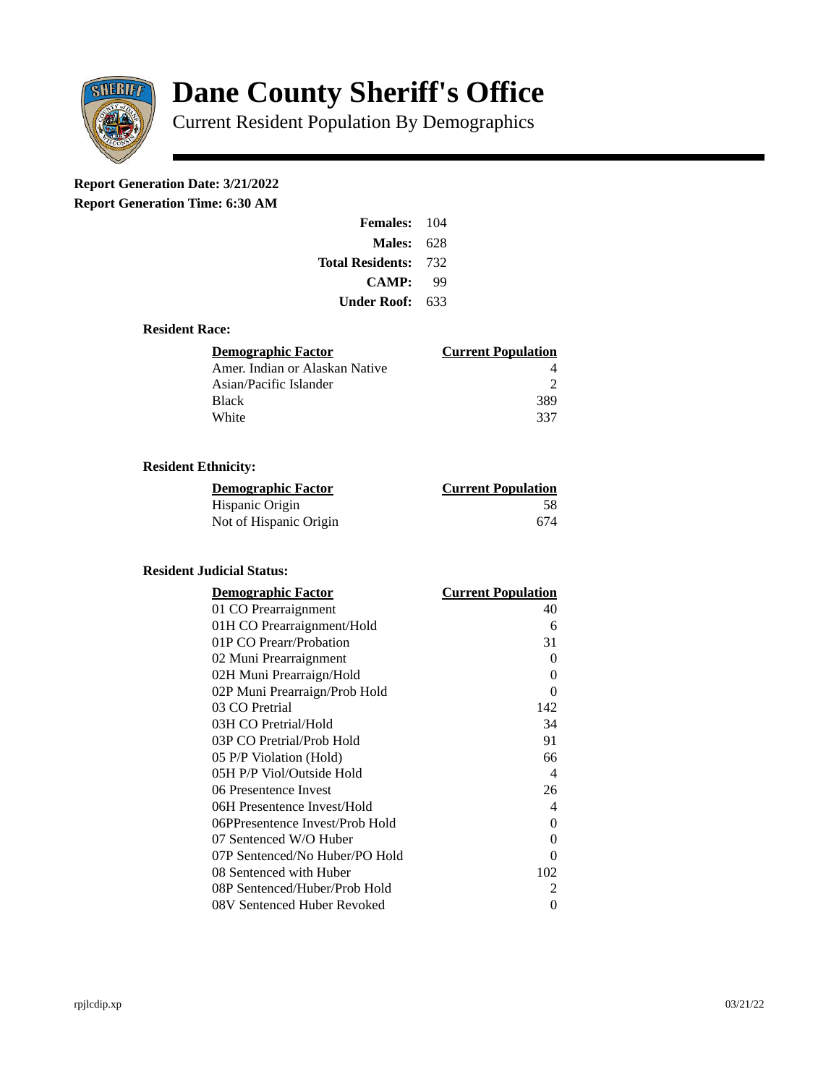

# **Dane County Sheriff's Office**

Current Resident Population By Demographics

# **Report Generation Date: 3/21/2022**

**Report Generation Time: 6:30 AM** 

| Females:                | 104   |
|-------------------------|-------|
| Males:                  | -628  |
| <b>Total Residents:</b> | - 732 |
| <b>CAMP:</b>            | qq    |
| Under Roof: \           | 633   |

#### **Resident Race:**

| Demographic Factor             | <b>Current Population</b> |
|--------------------------------|---------------------------|
| Amer. Indian or Alaskan Native |                           |
| Asian/Pacific Islander         | ר                         |
| Black                          | 389                       |
| White                          | 337                       |

## **Resident Ethnicity:**

| <u> Demographic Factor</u> | <b>Current Population</b> |
|----------------------------|---------------------------|
| Hispanic Origin            | 58                        |
| Not of Hispanic Origin     | 674                       |

#### **Resident Judicial Status:**

| <b>Demographic Factor</b>       | <b>Current Population</b>  |
|---------------------------------|----------------------------|
| 01 CO Prearraignment            | 40                         |
| 01H CO Prearraignment/Hold      | 6                          |
| 01P CO Prearr/Probation         | 31                         |
| 02 Muni Prearraignment          | 0                          |
| 02H Muni Prearraign/Hold        | 0                          |
| 02P Muni Prearraign/Prob Hold   | 0                          |
| 03 CO Pretrial                  | 142                        |
| 03H CO Pretrial/Hold            | 34                         |
| 03P CO Pretrial/Prob Hold       | 91                         |
| 05 P/P Violation (Hold)         | 66                         |
| 05H P/P Viol/Outside Hold       | $\boldsymbol{\mathcal{A}}$ |
| 06 Presentence Invest           | 26                         |
| 06H Presentence Invest/Hold     | 4                          |
| 06PPresentence Invest/Prob Hold | 0                          |
| 07 Sentenced W/O Huber          | 0                          |
| 07P Sentenced/No Huber/PO Hold  | 0                          |
| 08 Sentenced with Huber         | 102                        |
| 08P Sentenced/Huber/Prob Hold   | $\overline{2}$             |
| 08V Sentenced Huber Revoked     | 0                          |